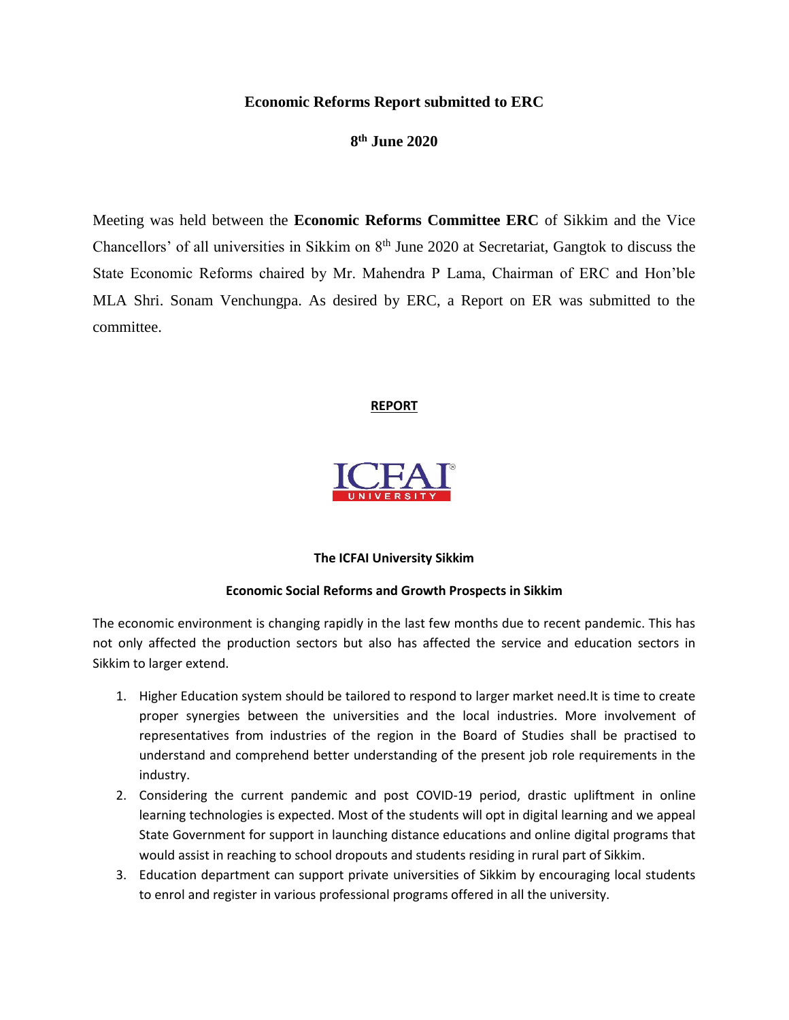## **Economic Reforms Report submitted to ERC**

**8 th June 2020**

Meeting was held between the **Economic Reforms Committee ERC** of Sikkim and the Vice Chancellors' of all universities in Sikkim on 8<sup>th</sup> June 2020 at Secretariat, Gangtok to discuss the State Economic Reforms chaired by Mr. Mahendra P Lama, Chairman of ERC and Hon'ble MLA Shri. Sonam Venchungpa. As desired by ERC, a Report on ER was submitted to the committee.

## **REPORT**



## **The ICFAI University Sikkim**

## **Economic Social Reforms and Growth Prospects in Sikkim**

The economic environment is changing rapidly in the last few months due to recent pandemic. This has not only affected the production sectors but also has affected the service and education sectors in Sikkim to larger extend.

- 1. Higher Education system should be tailored to respond to larger market need.It is time to create proper synergies between the universities and the local industries. More involvement of representatives from industries of the region in the Board of Studies shall be practised to understand and comprehend better understanding of the present job role requirements in the industry.
- 2. Considering the current pandemic and post COVID-19 period, drastic upliftment in online learning technologies is expected. Most of the students will opt in digital learning and we appeal State Government for support in launching distance educations and online digital programs that would assist in reaching to school dropouts and students residing in rural part of Sikkim.
- 3. Education department can support private universities of Sikkim by encouraging local students to enrol and register in various professional programs offered in all the university.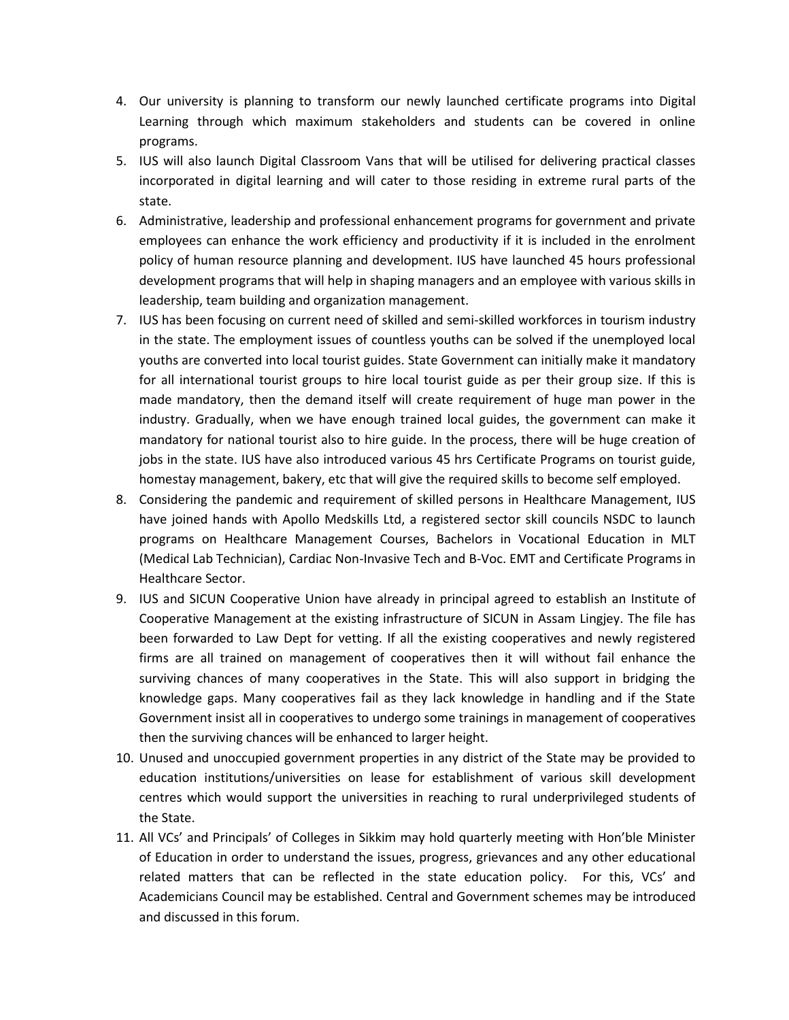- 4. Our university is planning to transform our newly launched certificate programs into Digital Learning through which maximum stakeholders and students can be covered in online programs.
- 5. IUS will also launch Digital Classroom Vans that will be utilised for delivering practical classes incorporated in digital learning and will cater to those residing in extreme rural parts of the state.
- 6. Administrative, leadership and professional enhancement programs for government and private employees can enhance the work efficiency and productivity if it is included in the enrolment policy of human resource planning and development. IUS have launched 45 hours professional development programs that will help in shaping managers and an employee with various skills in leadership, team building and organization management.
- 7. IUS has been focusing on current need of skilled and semi-skilled workforces in tourism industry in the state. The employment issues of countless youths can be solved if the unemployed local youths are converted into local tourist guides. State Government can initially make it mandatory for all international tourist groups to hire local tourist guide as per their group size. If this is made mandatory, then the demand itself will create requirement of huge man power in the industry. Gradually, when we have enough trained local guides, the government can make it mandatory for national tourist also to hire guide. In the process, there will be huge creation of jobs in the state. IUS have also introduced various 45 hrs Certificate Programs on tourist guide, homestay management, bakery, etc that will give the required skills to become self employed.
- 8. Considering the pandemic and requirement of skilled persons in Healthcare Management, IUS have joined hands with Apollo Medskills Ltd, a registered sector skill councils NSDC to launch programs on Healthcare Management Courses, Bachelors in Vocational Education in MLT (Medical Lab Technician), Cardiac Non-Invasive Tech and B-Voc. EMT and Certificate Programs in Healthcare Sector.
- 9. IUS and SICUN Cooperative Union have already in principal agreed to establish an Institute of Cooperative Management at the existing infrastructure of SICUN in Assam Lingjey. The file has been forwarded to Law Dept for vetting. If all the existing cooperatives and newly registered firms are all trained on management of cooperatives then it will without fail enhance the surviving chances of many cooperatives in the State. This will also support in bridging the knowledge gaps. Many cooperatives fail as they lack knowledge in handling and if the State Government insist all in cooperatives to undergo some trainings in management of cooperatives then the surviving chances will be enhanced to larger height.
- 10. Unused and unoccupied government properties in any district of the State may be provided to education institutions/universities on lease for establishment of various skill development centres which would support the universities in reaching to rural underprivileged students of the State.
- 11. All VCs' and Principals' of Colleges in Sikkim may hold quarterly meeting with Hon'ble Minister of Education in order to understand the issues, progress, grievances and any other educational related matters that can be reflected in the state education policy. For this, VCs' and Academicians Council may be established. Central and Government schemes may be introduced and discussed in this forum.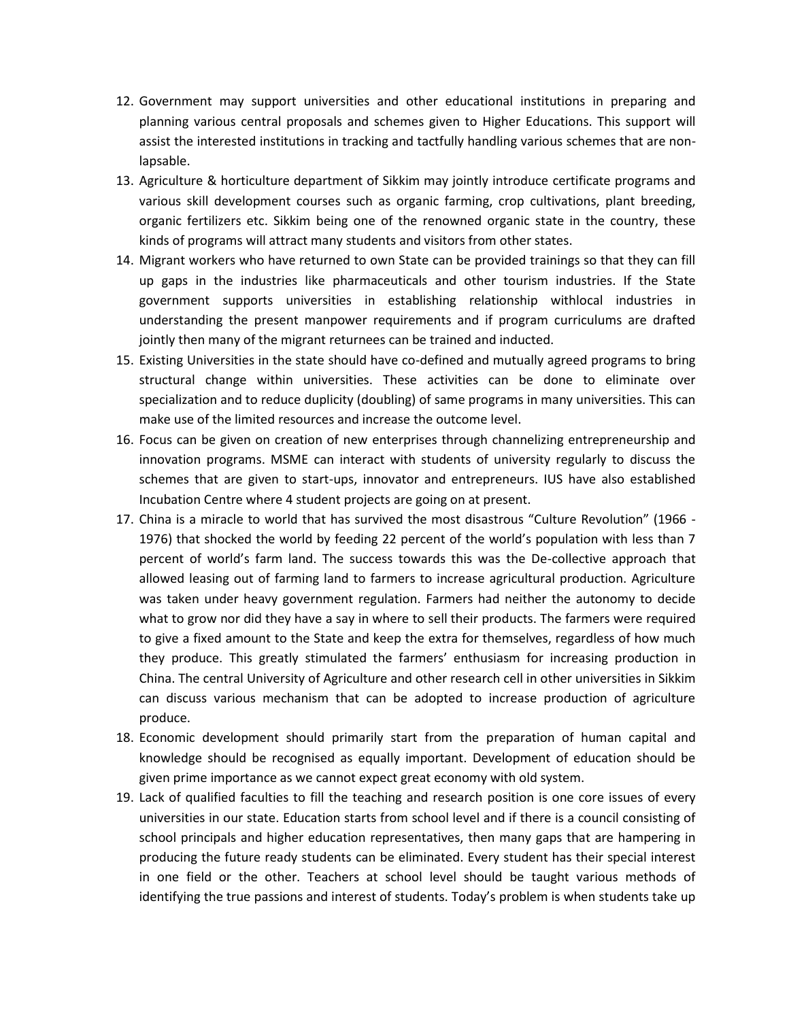- 12. Government may support universities and other educational institutions in preparing and planning various central proposals and schemes given to Higher Educations. This support will assist the interested institutions in tracking and tactfully handling various schemes that are nonlapsable.
- 13. Agriculture & horticulture department of Sikkim may jointly introduce certificate programs and various skill development courses such as organic farming, crop cultivations, plant breeding, organic fertilizers etc. Sikkim being one of the renowned organic state in the country, these kinds of programs will attract many students and visitors from other states.
- 14. Migrant workers who have returned to own State can be provided trainings so that they can fill up gaps in the industries like pharmaceuticals and other tourism industries. If the State government supports universities in establishing relationship withlocal industries in understanding the present manpower requirements and if program curriculums are drafted jointly then many of the migrant returnees can be trained and inducted.
- 15. Existing Universities in the state should have co-defined and mutually agreed programs to bring structural change within universities. These activities can be done to eliminate over specialization and to reduce duplicity (doubling) of same programs in many universities. This can make use of the limited resources and increase the outcome level.
- 16. Focus can be given on creation of new enterprises through channelizing entrepreneurship and innovation programs. MSME can interact with students of university regularly to discuss the schemes that are given to start-ups, innovator and entrepreneurs. IUS have also established Incubation Centre where 4 student projects are going on at present.
- 17. China is a miracle to world that has survived the most disastrous "Culture Revolution" (1966 1976) that shocked the world by feeding 22 percent of the world's population with less than 7 percent of world's farm land. The success towards this was the De-collective approach that allowed leasing out of farming land to farmers to increase agricultural production. Agriculture was taken under heavy government regulation. Farmers had neither the autonomy to decide what to grow nor did they have a say in where to sell their products. The farmers were required to give a fixed amount to the State and keep the extra for themselves, regardless of how much they produce. This greatly stimulated the farmers' enthusiasm for increasing production in China. The central University of Agriculture and other research cell in other universities in Sikkim can discuss various mechanism that can be adopted to increase production of agriculture produce.
- 18. Economic development should primarily start from the preparation of human capital and knowledge should be recognised as equally important. Development of education should be given prime importance as we cannot expect great economy with old system.
- 19. Lack of qualified faculties to fill the teaching and research position is one core issues of every universities in our state. Education starts from school level and if there is a council consisting of school principals and higher education representatives, then many gaps that are hampering in producing the future ready students can be eliminated. Every student has their special interest in one field or the other. Teachers at school level should be taught various methods of identifying the true passions and interest of students. Today's problem is when students take up